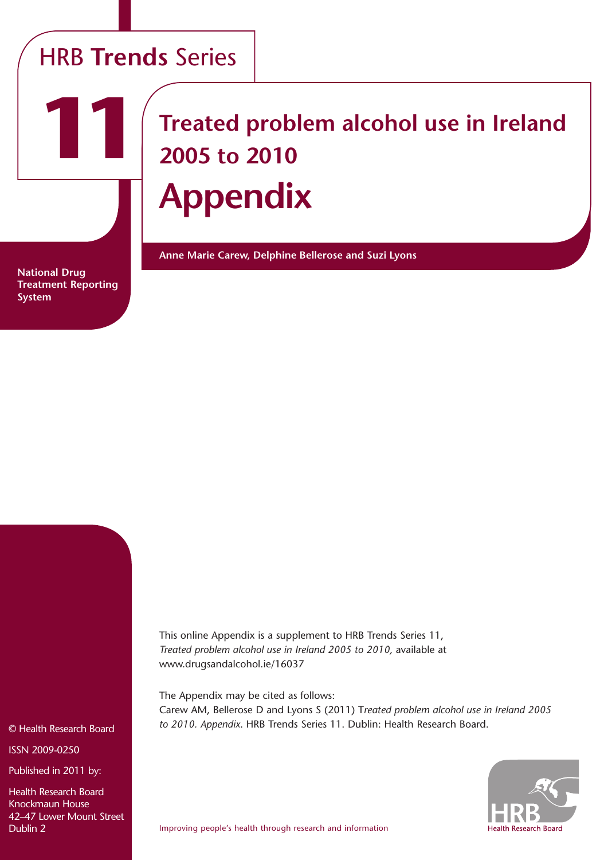## HRB **Trends** Series

# **Treated problem alcohol use in Ireland 2005 to 2010 Appendix**

**Anne Marie Carew, Delphine Bellerose and Suzi Lyons**

**National Drug Treatment Reporting System**

**11**

This online Appendix is a supplement to HRB Trends Series 11, *Treated problem alcohol use in Ireland 2005 to 2010,* available at www.drugsandalcohol.ie/16037

The Appendix may be cited as follows: Carew AM, Bellerose D and Lyons S (2011) T*reated problem alcohol use in Ireland 2005 to 2010. Appendix*. HRB Trends Series 11. Dublin: Health Research Board.



© Health Research Board

ISSN 2009-0250

Published in 2011 by:

Health Research Board Knockmaun House 42–47 Lower Mount Street Dublin 2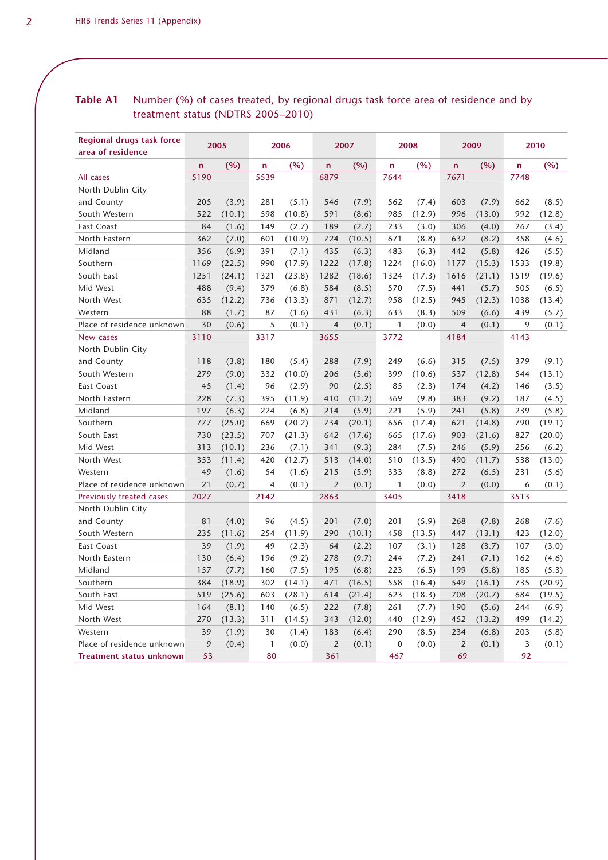#### Table A1 Number (%) of cases treated, by regional drugs task force area of residence and by treatment status (NDTRS 2005–2010)

| <b>Regional drugs task force</b><br>area of residence | 2005           |        | 2006           |        |                | 2007   |              | 2008   |                | 2009   | 2010 |        |
|-------------------------------------------------------|----------------|--------|----------------|--------|----------------|--------|--------------|--------|----------------|--------|------|--------|
|                                                       | $\overline{a}$ | (%)    | $\mathbf n$    | (%)    | $\mathbf n$    | (%)    | n            | (%)    | $\mathbf n$    | (%)    | n.   | (%)    |
| All cases                                             | 5190           |        | 5539           |        | 6879           |        | 7644         |        | 7671           |        | 7748 |        |
| North Dublin City                                     |                |        |                |        |                |        |              |        |                |        |      |        |
| and County                                            | 205            | (3.9)  | 281            | (5.1)  | 546            | (7.9)  | 562          | (7.4)  | 603            | (7.9)  | 662  | (8.5)  |
| South Western                                         | 522            | (10.1) | 598            | (10.8) | 591            | (8.6)  | 985          | (12.9) | 996            | (13.0) | 992  | (12.8) |
| East Coast                                            | 84             | (1.6)  | 149            | (2.7)  | 189            | (2.7)  | 233          | (3.0)  | 306            | (4.0)  | 267  | (3.4)  |
| North Eastern                                         | 362            | (7.0)  | 601            | (10.9) | 724            | (10.5) | 671          | (8.8)  | 632            | (8.2)  | 358  | (4.6)  |
| Midland                                               | 356            | (6.9)  | 391            | (7.1)  | 435            | (6.3)  | 483          | (6.3)  | 442            | (5.8)  | 426  | (5.5)  |
| Southern                                              | 1169           | (22.5) | 990            | (17.9) | 1222           | (17.8) | 1224         | (16.0) | 1177           | (15.3) | 1533 | (19.8) |
| South East                                            | 1251           | (24.1) | 1321           | (23.8) | 1282           | (18.6) | 1324         | (17.3) | 1616           | (21.1) | 1519 | (19.6) |
| Mid West                                              | 488            | (9.4)  | 379            | (6.8)  | 584            | (8.5)  | 570          | (7.5)  | 441            | (5.7)  | 505  | (6.5)  |
| North West                                            | 635            | (12.2) | 736            | (13.3) | 871            | (12.7) | 958          | (12.5) | 945            | (12.3) | 1038 | (13.4) |
| Western                                               | 88             | (1.7)  | 87             | (1.6)  | 431            | (6.3)  | 633          | (8.3)  | 509            | (6.6)  | 439  | (5.7)  |
| Place of residence unknown                            | 30             | (0.6)  | 5              | (0.1)  | $\overline{4}$ | (0.1)  | $\mathbf{1}$ | (0.0)  | $\overline{4}$ | (0.1)  | 9    | (0.1)  |
| New cases                                             | 3110           |        | 3317           |        | 3655           |        | 3772         |        | 4184           |        | 4143 |        |
| North Dublin City                                     |                |        |                |        |                |        |              |        |                |        |      |        |
| and County                                            | 118            | (3.8)  | 180            | (5.4)  | 288            | (7.9)  | 249          | (6.6)  | 315            | (7.5)  | 379  | (9.1)  |
| South Western                                         | 279            | (9.0)  | 332            | (10.0) | 206            | (5.6)  | 399          | (10.6) | 537            | (12.8) | 544  | (13.1) |
| East Coast                                            | 45             | (1.4)  | 96             | (2.9)  | 90             | (2.5)  | 85           | (2.3)  | 174            | (4.2)  | 146  | (3.5)  |
| North Eastern                                         | 228            | (7.3)  | 395            | (11.9) | 410            | (11.2) | 369          | (9.8)  | 383            | (9.2)  | 187  | (4.5)  |
| Midland                                               | 197            | (6.3)  | 224            | (6.8)  | 214            | (5.9)  | 221          | (5.9)  | 241            | (5.8)  | 239  | (5.8)  |
| Southern                                              | 777            | (25.0) | 669            | (20.2) | 734            | (20.1) | 656          | (17.4) | 621            | (14.8) | 790  | (19.1) |
| South East                                            | 730            | (23.5) | 707            | (21.3) | 642            | (17.6) | 665          | (17.6) | 903            | (21.6) | 827  | (20.0) |
| Mid West                                              | 313            | (10.1) | 236            | (7.1)  | 341            | (9.3)  | 284          | (7.5)  | 246            | (5.9)  | 256  | (6.2)  |
| North West                                            | 353            | (11.4) | 420            | (12.7) | 513            | (14.0) | 510          | (13.5) | 490            | (11.7) | 538  | (13.0) |
| Western                                               | 49             | (1.6)  | 54             | (1.6)  | 215            | (5.9)  | 333          | (8.8)  | 272            | (6.5)  | 231  | (5.6)  |
| Place of residence unknown                            | 21             | (0.7)  | $\overline{4}$ | (0.1)  | $\overline{2}$ | (0.1)  | $\mathbf{1}$ | (0.0)  | $\overline{2}$ | (0.0)  | 6    | (0.1)  |
| Previously treated cases                              | 2027           |        | 2142           |        | 2863           |        | 3405         |        | 3418           |        | 3513 |        |
| North Dublin City                                     |                |        |                |        |                |        |              |        |                |        |      |        |
| and County                                            | 81             | (4.0)  | 96             | (4.5)  | 201            | (7.0)  | 201          | (5.9)  | 268            | (7.8)  | 268  | (7.6)  |
| South Western                                         | 235            | (11.6) | 254            | (11.9) | 290            | (10.1) | 458          | (13.5) | 447            | (13.1) | 423  | (12.0) |
| East Coast                                            | 39             | (1.9)  | 49             | (2.3)  | 64             | (2.2)  | 107          | (3.1)  | 128            | (3.7)  | 107  | (3.0)  |
| North Eastern                                         | 130            | (6.4)  | 196            | (9.2)  | 278            | (9.7)  | 244          | (7.2)  | 241            | (7.1)  | 162  | (4.6)  |
| Midland                                               | 157            | (7.7)  | 160            | (7.5)  | 195            | (6.8)  | 223          | (6.5)  | 199            | (5.8)  | 185  | (5.3)  |
| Southern                                              | 384            | (18.9) | 302            | (14.1) | 471            | (16.5) | 558          | (16.4) | 549            | (16.1) | 735  | (20.9) |
| South East                                            | 519            | (25.6) | 603            | (28.1) | 614            | (21.4) | 623          | (18.3) | 708            | (20.7) | 684  | (19.5) |
| Mid West                                              | 164            | (8.1)  | 140            | (6.5)  | 222            | (7.8)  | 261          | (7.7)  | 190            | (5.6)  | 244  | (6.9)  |
| North West                                            | 270            | (13.3) | 311            | (14.5) | 343            | (12.0) | 440          | (12.9) | 452            | (13.2) | 499  | (14.2) |
| Western                                               | 39             | (1.9)  | 30             | (1.4)  | 183            | (6.4)  | 290          | (8.5)  | 234            | (6.8)  | 203  | (5.8)  |
| Place of residence unknown                            | 9              | (0.4)  | $\mathbf{1}$   | (0.0)  | $\overline{2}$ | (0.1)  | $\mathbf 0$  | (0.0)  | 2              | (0.1)  | 3    | (0.1)  |
| <b>Treatment status unknown</b>                       | 53             |        | 80             |        | 361            |        | 467          |        | 69             |        | 92   |        |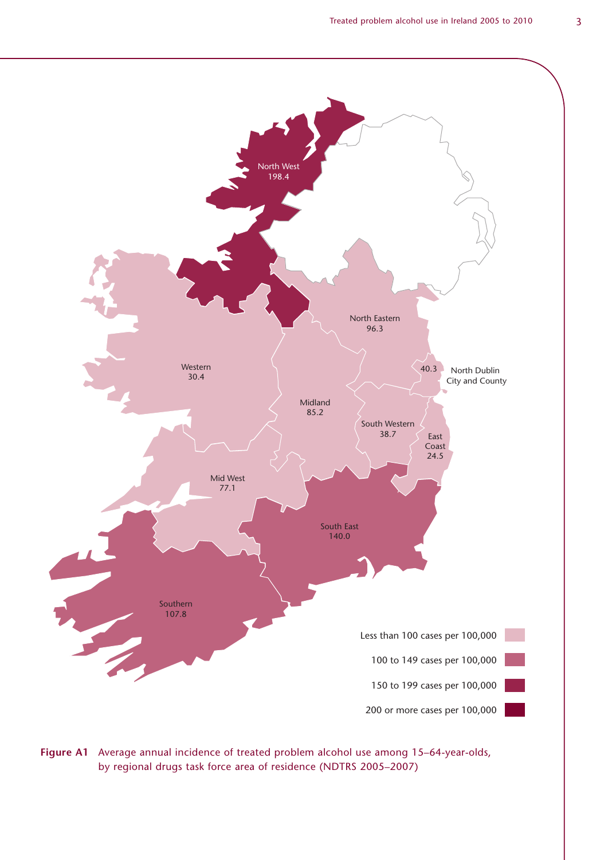

**Figure A1** Average annual incidence of treated problem alcohol use among 15–64-year-olds, by regional drugs task force area of residence (NDTRS 2005–2007)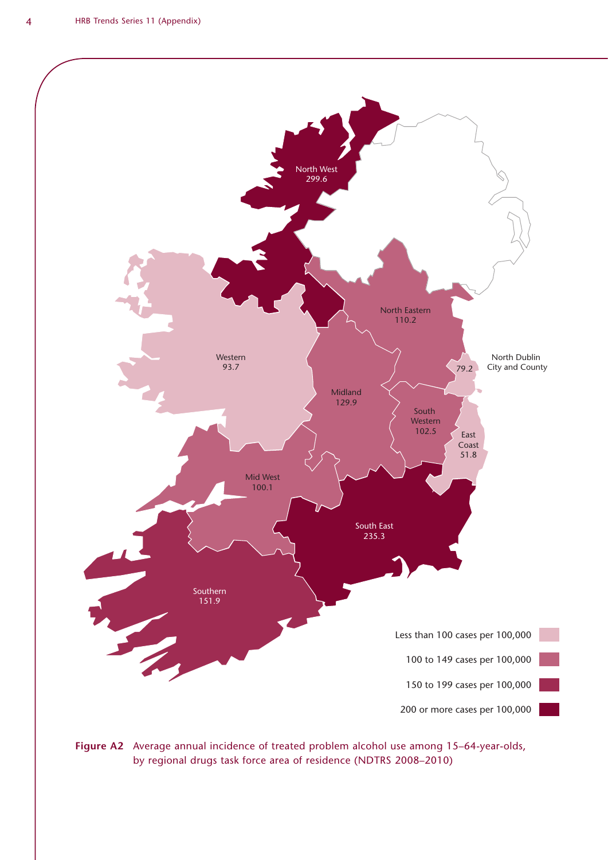

**Figure A2** Average annual incidence of treated problem alcohol use among 15–64-year-olds, by regional drugs task force area of residence (NDTRS 2008–2010)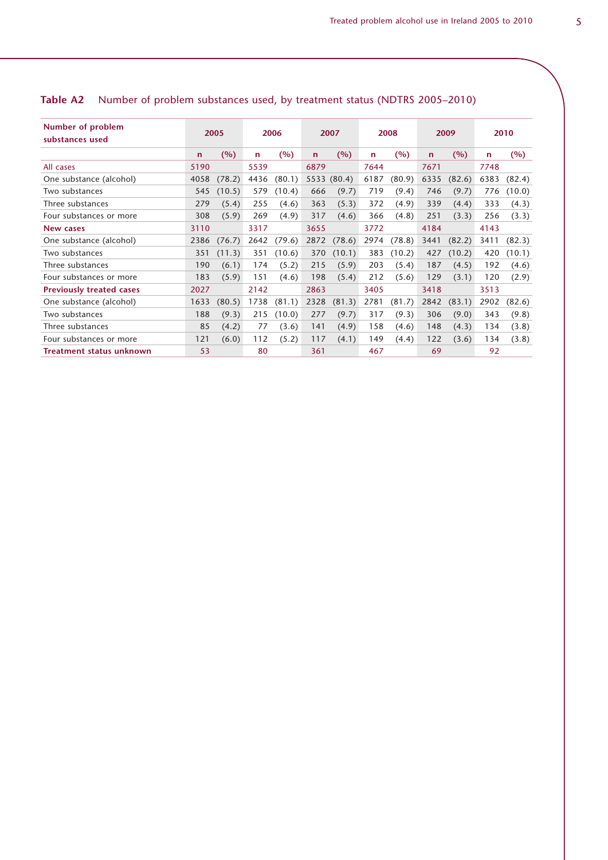| Number of problem<br>substances used | 2005 |        | 2006         |        | 2007         |             | 2008         |        | 2009         |        | 2010         |        |
|--------------------------------------|------|--------|--------------|--------|--------------|-------------|--------------|--------|--------------|--------|--------------|--------|
|                                      | n    | (%)    | $\mathsf{n}$ | (%)    | $\mathsf{n}$ | (%)         | $\mathsf{n}$ | (%)    | $\mathsf{n}$ | (%)    | $\mathsf{n}$ | (%)    |
| All cases                            | 5190 |        | 5539         |        | 6879         |             | 7644         |        | 7671         |        | 7748         |        |
| One substance (alcohol)              | 4058 | (78.2) | 4436         | (80.1) |              | 5533 (80.4) | 6187         | (80.9) | 6335         | (82.6) | 6383         | (82.4) |
| Two substances                       | 545  | (10.5) | 579          | (10.4) | 666          | (9.7)       | 719          | (9.4)  | 746          | (9.7)  | 776          | (10.0) |
| Three substances                     | 279  | (5.4)  | 255          | (4.6)  | 363          | (5.3)       | 372          | (4.9)  | 339          | (4.4)  | 333          | (4.3)  |
| Four substances or more              | 308  | (5.9)  | 269          | (4.9)  | 317          | (4.6)       | 366          | (4.8)  | 251          | (3.3)  | 256          | (3.3)  |
| New cases                            | 3110 |        | 3317         |        | 3655         |             | 3772         |        | 4184         |        | 4143         |        |
| One substance (alcohol)              | 2386 | (76.7) | 2642         | (79.6) | 2872         | (78.6)      | 2974         | (78.8) | 3441         | (82.2) | 3411         | (82.3) |
| Two substances                       | 351  | (11.3) | 351          | (10.6) | 370          | (10.1)      | 383          | (10.2) | 427          | (10.2) | 420          | (10.1) |
| Three substances                     | 190  | (6.1)  | 174          | (5.2)  | 215          | (5.9)       | 203          | (5.4)  | 187          | (4.5)  | 192          | (4.6)  |
| Four substances or more              | 183  | (5.9)  | 151          | (4.6)  | 198          | (5.4)       | 212          | (5.6)  | 129          | (3.1)  | 120          | (2.9)  |
| <b>Previously treated cases</b>      | 2027 |        | 2142         |        | 2863         |             | 3405         |        | 3418         |        | 3513         |        |
| One substance (alcohol)              | 1633 | (80.5) | 1738         | (81.1) | 2328         | (81.3)      | 2781         | (81.7) | 2842         | (83.1) | 2902         | (82.6) |
| Two substances                       | 188  | (9.3)  | 215          | (10.0) | 277          | (9.7)       | 317          | (9.3)  | 306          | (9.0)  | 343          | (9.8)  |
| Three substances                     | 85   | (4.2)  | 77           | (3.6)  | 141          | (4.9)       | 158          | (4.6)  | 148          | (4.3)  | 134          | (3.8)  |
| Four substances or more              | 121  | (6.0)  | 112          | (5.2)  | 117          | (4.1)       | 149          | (4.4)  | 122          | (3.6)  | 134          | (3.8)  |
| Treatment status unknown             | 53   |        | 80           |        | 361          |             | 467          |        | 69           |        | 92           |        |

### **Table A2** Number of problem substances used, by treatment status (NDTRS 2005–2010)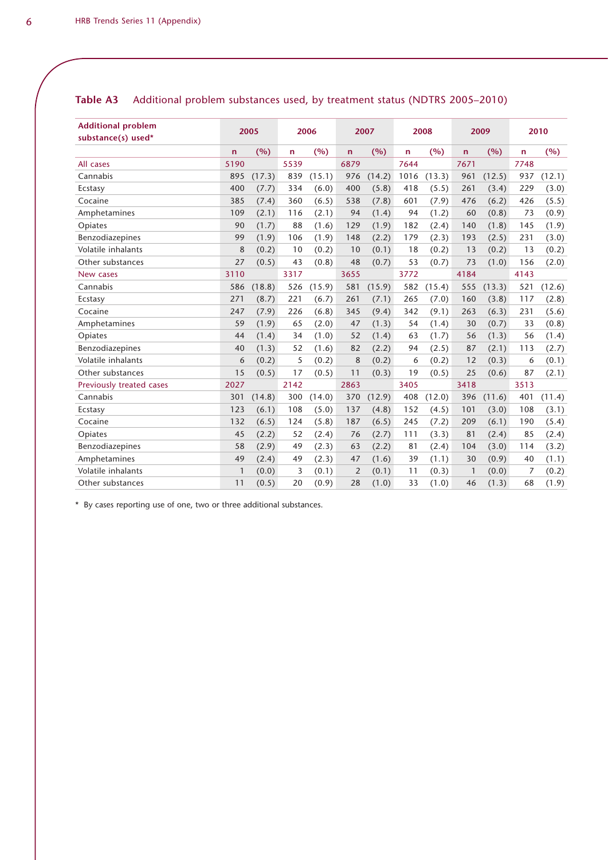| <b>Additional problem</b><br>substance(s) used* | 2005         |        | 2006 |        | 2007         |        | 2008 |        | 2009         |        | 2010 |        |
|-------------------------------------------------|--------------|--------|------|--------|--------------|--------|------|--------|--------------|--------|------|--------|
|                                                 | n            | (%)    | n    | (%)    | $\mathsf{n}$ | (%)    | n    | (%)    | n.           | (%)    | n.   | (%)    |
| All cases                                       | 5190         |        | 5539 |        | 6879         |        | 7644 |        | 7671         |        | 7748 |        |
| Cannabis                                        | 895          | (17.3) | 839  | (15.1) | 976          | (14.2) | 1016 | (13.3) | 961          | (12.5) | 937  | (12.1) |
| Ecstasy                                         | 400          | (7.7)  | 334  | (6.0)  | 400          | (5.8)  | 418  | (5.5)  | 261          | (3.4)  | 229  | (3.0)  |
| Cocaine                                         | 385          | (7.4)  | 360  | (6.5)  | 538          | (7.8)  | 601  | (7.9)  | 476          | (6.2)  | 426  | (5.5)  |
| Amphetamines                                    | 109          | (2.1)  | 116  | (2.1)  | 94           | (1.4)  | 94   | (1.2)  | 60           | (0.8)  | 73   | (0.9)  |
| Opiates                                         | 90           | (1.7)  | 88   | (1.6)  | 129          | (1.9)  | 182  | (2.4)  | 140          | (1.8)  | 145  | (1.9)  |
| Benzodiazepines                                 | 99           | (1.9)  | 106  | (1.9)  | 148          | (2.2)  | 179  | (2.3)  | 193          | (2.5)  | 231  | (3.0)  |
| Volatile inhalants                              | 8            | (0.2)  | 10   | (0.2)  | 10           | (0.1)  | 18   | (0.2)  | 13           | (0.2)  | 13   | (0.2)  |
| Other substances                                | 27           | (0.5)  | 43   | (0.8)  | 48           | (0.7)  | 53   | (0.7)  | 73           | (1.0)  | 156  | (2.0)  |
| New cases                                       | 3110         |        | 3317 |        | 3655         |        | 3772 |        | 4184         |        | 4143 |        |
| Cannabis                                        | 586          | (18.8) | 526  | (15.9) | 581          | (15.9) | 582  | (15.4) | 555          | (13.3) | 521  | (12.6) |
| Ecstasy                                         | 271          | (8.7)  | 221  | (6.7)  | 261          | (7.1)  | 265  | (7.0)  | 160          | (3.8)  | 117  | (2.8)  |
| Cocaine                                         | 247          | (7.9)  | 226  | (6.8)  | 345          | (9.4)  | 342  | (9.1)  | 263          | (6.3)  | 231  | (5.6)  |
| Amphetamines                                    | 59           | (1.9)  | 65   | (2.0)  | 47           | (1.3)  | 54   | (1.4)  | 30           | (0.7)  | 33   | (0.8)  |
| Opiates                                         | 44           | (1.4)  | 34   | (1.0)  | 52           | (1.4)  | 63   | (1.7)  | 56           | (1.3)  | 56   | (1.4)  |
| Benzodiazepines                                 | 40           | (1.3)  | 52   | (1.6)  | 82           | (2.2)  | 94   | (2.5)  | 87           | (2.1)  | 113  | (2.7)  |
| Volatile inhalants                              | 6            | (0.2)  | 5    | (0.2)  | 8            | (0.2)  | 6    | (0.2)  | 12           | (0.3)  | 6    | (0.1)  |
| Other substances                                | 15           | (0.5)  | 17   | (0.5)  | 11           | (0.3)  | 19   | (0.5)  | 25           | (0.6)  | 87   | (2.1)  |
| Previously treated cases                        | 2027         |        | 2142 |        | 2863         |        | 3405 |        | 3418         |        | 3513 |        |
| Cannabis                                        | 301          | (14.8) | 300  | (14.0) | 370          | (12.9) | 408  | (12.0) | 396          | (11.6) | 401  | (11.4) |
| Ecstasy                                         | 123          | (6.1)  | 108  | (5.0)  | 137          | (4.8)  | 152  | (4.5)  | 101          | (3.0)  | 108  | (3.1)  |
| Cocaine                                         | 132          | (6.5)  | 124  | (5.8)  | 187          | (6.5)  | 245  | (7.2)  | 209          | (6.1)  | 190  | (5.4)  |
| Opiates                                         | 45           | (2.2)  | 52   | (2.4)  | 76           | (2.7)  | 111  | (3.3)  | 81           | (2.4)  | 85   | (2.4)  |
| Benzodiazepines                                 | 58           | (2.9)  | 49   | (2.3)  | 63           | (2.2)  | 81   | (2.4)  | 104          | (3.0)  | 114  | (3.2)  |
| Amphetamines                                    | 49           | (2.4)  | 49   | (2.3)  | 47           | (1.6)  | 39   | (1.1)  | 30           | (0.9)  | 40   | (1.1)  |
| Volatile inhalants                              | $\mathbf{1}$ | (0.0)  | 3    | (0.1)  | 2            | (0.1)  | 11   | (0.3)  | $\mathbf{1}$ | (0.0)  | 7    | (0.2)  |
| Other substances                                | 11           | (0.5)  | 20   | (0.9)  | 28           | (1.0)  | 33   | (1.0)  | 46           | (1.3)  | 68   | (1.9)  |

#### **Table A3** Additional problem substances used, by treatment status (NDTRS 2005–2010)

\* By cases reporting use of one, two or three additional substances.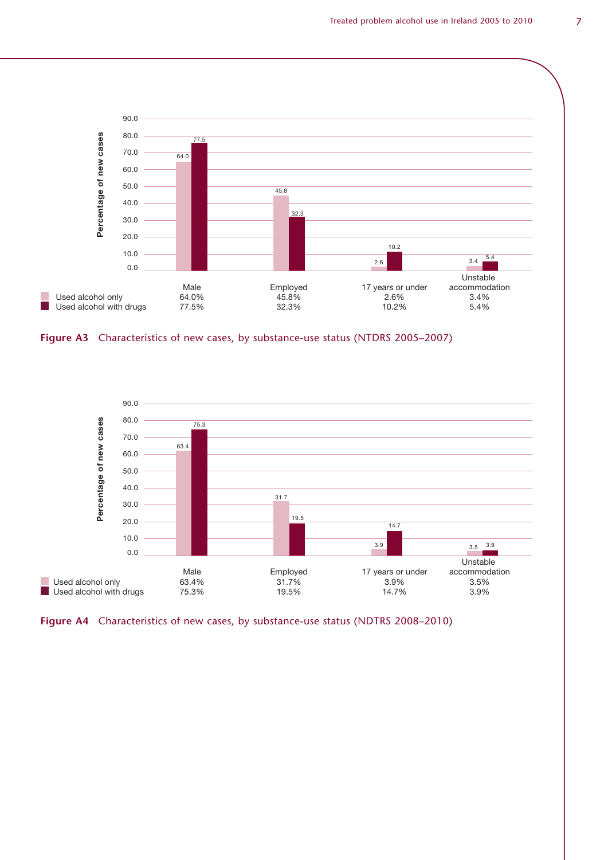